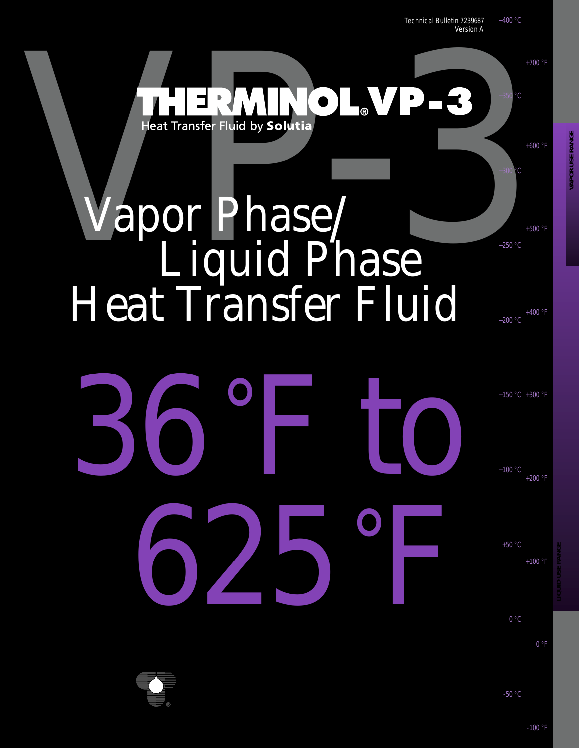

**VAPOR USE RANGE**

**APOR USE RANGE** 

+100 °F

+50 °C

 $0 °C$ 

625°F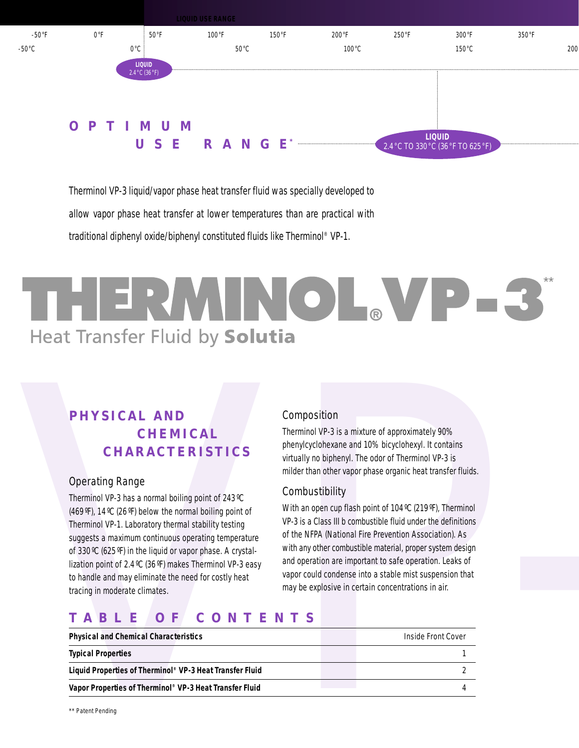

Therminol VP-3 liquid/vapor phase heat transfer fluid was specially developed to allow vapor phase heat transfer at lower temperatures than are practical with traditional diphenyl oxide/biphenyl constituted fluids like Therminol ® VP-1.

# THERMINOL, VP-3 \*\* **Heat Transfer Fluid by Solutia**

# **PHYSICAL AND CHEMICAL CHARACTERISTICS**

### Operating Range

### Composition

### **Combustibility**

# **TABLE OF CONTENTS**

| and operation are important to safe operation. Leaks of<br>lization point of 2.4 °C (36 °F) makes Therminol VP-3 easy<br>vapor could condense into a stable mist suspension that<br>to handle and may eliminate the need for costly heat<br>may be explosive in certain concentrations in air.<br>tracing in moderate climates.<br>CONTENTS<br>TABLE<br>0 F |  | of 330 °C (625 °F) in the liquid or vapor phase. A crystal- |
|-------------------------------------------------------------------------------------------------------------------------------------------------------------------------------------------------------------------------------------------------------------------------------------------------------------------------------------------------------------|--|-------------------------------------------------------------|
|                                                                                                                                                                                                                                                                                                                                                             |  |                                                             |
| Inside Front Cover<br><b>Physical and Chemical Characteristics</b>                                                                                                                                                                                                                                                                                          |  |                                                             |
| <b>Typical Properties</b>                                                                                                                                                                                                                                                                                                                                   |  |                                                             |
| Liquid Properties of Therminol® VP-3 Heat Transfer Fluid                                                                                                                                                                                                                                                                                                    |  |                                                             |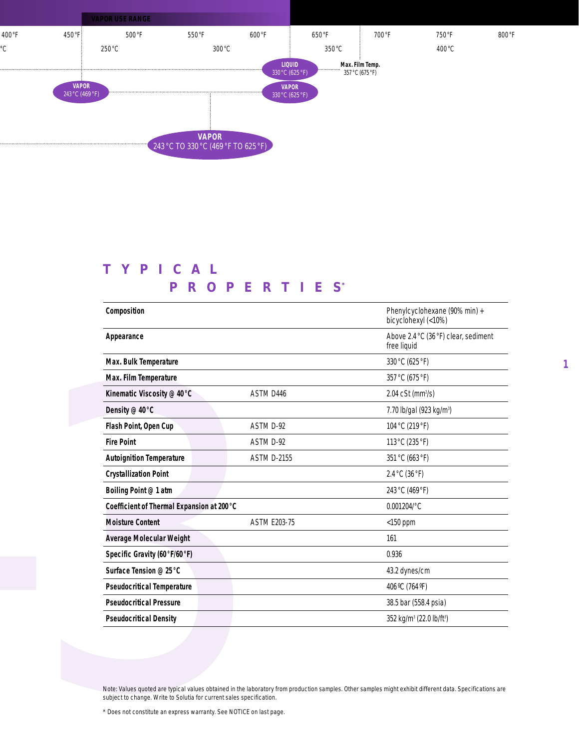

# **TYPICAL PROPERTIES \***

| Appearance                                 |                     | Phenylcyclohexane (90% min) +<br>bicyclohexyl (<10%) |
|--------------------------------------------|---------------------|------------------------------------------------------|
|                                            |                     | Above 2.4 °C (36 °F) clear, sediment<br>free liquid  |
| Max. Bulk Temperature                      |                     | 330 °C (625 °F)                                      |
| Max. Film Temperature                      |                     | 357 °C (675 °F)                                      |
| Kinematic Viscosity @ 40 °C                | ASTM D446           | 2.04 cSt (mm <sup>2</sup> /s)                        |
| Density @ 40 °C                            |                     | 7.70 lb/gal (923 kg/m <sup>3</sup> )                 |
| Flash Point, Open Cup                      | ASTM D-92           | 104 °C (219 °F)                                      |
| <b>Fire Point</b>                          | ASTM D-92           | 113 °C (235 °F)                                      |
| <b>Autoignition Temperature</b>            | <b>ASTM D-2155</b>  | 351 °C (663 °F)                                      |
| <b>Crystallization Point</b>               |                     | 2.4 °C (36 °F)                                       |
| Boiling Point @ 1 atm                      |                     | 243 °C (469 °F)                                      |
| Coefficient of Thermal Expansion at 200 °C |                     | 0.001204/°C                                          |
| <b>Moisture Content</b>                    | <b>ASTM E203-75</b> | $<$ 150 ppm                                          |
| Average Molecular Weight                   |                     | 161                                                  |
| Specific Gravity (60°F/60°F)               |                     | 0.936                                                |
| Surface Tension @ 25 °C                    |                     | 43.2 dynes/cm                                        |
| <b>Pseudocritical Temperature</b>          |                     | 406 °C (764 °F)                                      |
| <b>Pseudocritical Pressure</b>             |                     | 38.5 bar (558.4 psia)                                |
| <b>Pseudocritical Density</b>              |                     | 352 kg/m <sup>3</sup> (22.0 lb/ft <sup>3</sup> )     |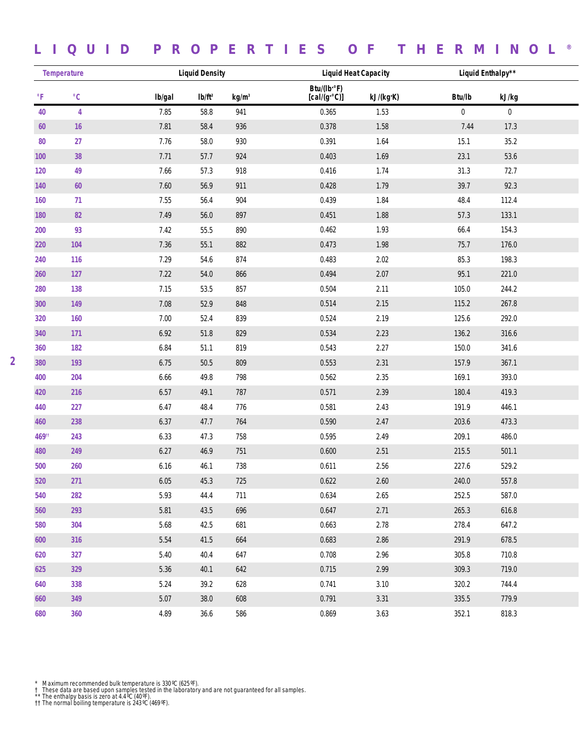# **LIQUID PROPERTIES OF THERMINOL ®**

| <b>Temperature</b> |                   |        | <b>Liquid Density</b> |                   | <b>Liquid Heat Capacity</b>        |           | Liquid Enthalpy** |                  |
|--------------------|-------------------|--------|-----------------------|-------------------|------------------------------------|-----------|-------------------|------------------|
| $\circ$ F          | $^{\circ}{\rm C}$ | Ib/gal | Ib/ft <sup>3</sup>    | kg/m <sup>3</sup> | Btu/(lb·°F)<br>$[cal/(g \cdot c)]$ | kJ/(kg·K) | Btu/lb            | kJ/kg            |
| 40                 | 4                 | 7.85   | 58.8                  | 941               | 0.365                              | 1.53      | $\pmb{0}$         | $\boldsymbol{0}$ |
| 60                 | 16                | 7.81   | 58.4                  | 936               | 0.378                              | 1.58      | 7.44              | 17.3             |
| 80                 | 27                | 7.76   | 58.0                  | 930               | 0.391                              | 1.64      | 15.1              | 35.2             |
| 100                | 38                | 7.71   | 57.7                  | 924               | 0.403                              | 1.69      | 23.1              | 53.6             |
| 120                | 49                | 7.66   | 57.3                  | 918               | 0.416                              | 1.74      | 31.3              | 72.7             |
| 140                | $60\,$            | 7.60   | 56.9                  | 911               | 0.428                              | 1.79      | 39.7              | 92.3             |
| 160                | 71                | 7.55   | 56.4                  | 904               | 0.439                              | 1.84      | 48.4              | 112.4            |
| 180                | 82                | 7.49   | 56.0                  | 897               | 0.451                              | 1.88      | 57.3              | 133.1            |
| 200                | 93                | 7.42   | $55.5\,$              | 890               | 0.462                              | 1.93      | 66.4              | 154.3            |
| 220                | 104               | 7.36   | 55.1                  | 882               | 0.473                              | 1.98      | $75.7$            | 176.0            |
| 240                | 116               | 7.29   | 54.6                  | 874               | 0.483                              | 2.02      | 85.3              | 198.3            |
| 260                | 127               | 7.22   | 54.0                  | 866               | 0.494                              | 2.07      | 95.1              | 221.0            |
| 280                | 138               | 7.15   | 53.5                  | 857               | 0.504                              | 2.11      | 105.0             | 244.2            |
| 300                | 149               | 7.08   | 52.9                  | 848               | 0.514                              | 2.15      | 115.2             | 267.8            |
| 320                | 160               | 7.00   | 52.4                  | 839               | 0.524                              | 2.19      | 125.6             | 292.0            |
| 340                | 171               | 6.92   | $51.8\,$              | 829               | 0.534                              | 2.23      | 136.2             | 316.6            |
| 360                | 182               | 6.84   | 51.1                  | 819               | 0.543                              | 2.27      | 150.0             | 341.6            |
| 380                | 193               | 6.75   | $50.5\,$              | 809               | 0.553                              | 2.31      | 157.9             | 367.1            |
| 400                | 204               | 6.66   | 49.8                  | 798               | 0.562                              | 2.35      | 169.1             | 393.0            |
| 420                | 216               | 6.57   | 49.1                  | 787               | 0.571                              | 2.39      | 180.4             | 419.3            |
| 440                | 227               | 6.47   | 48.4                  | 776               | 0.581                              | 2.43      | 191.9             | 446.1            |
| 460                | 238               | 6.37   | 47.7                  | 764               | 0.590                              | 2.47      | 203.6             | 473.3            |
| 46911              | 243               | 6.33   | 47.3                  | 758               | 0.595                              | 2.49      | 209.1             | 486.0            |
| 480                | 249               | 6.27   | 46.9                  | 751               | 0.600                              | 2.51      | 215.5             | 501.1            |
| 500                | 260               | 6.16   | 46.1                  | 738               | 0.611                              | 2.56      | 227.6             | 529.2            |
| 520                | 271               | 6.05   | 45.3                  | 725               | 0.622                              | 2.60      | 240.0             | 557.8            |
| 540                | 282               | 5.93   | 44.4                  | 711               | 0.634                              | 2.65      | 252.5             | 587.0            |
| 560                | 293               | 5.81   | 43.5                  | 696               | 0.647                              | 2.71      | 265.3             | 616.8            |
| 580                | 304               | 5.68   | 42.5                  | 681               | 0.663                              | 2.78      | 278.4             | 647.2            |
| 600                | 316               | 5.54   | 41.5                  | 664               | 0.683                              | 2.86      | 291.9             | 678.5            |
| 620                | 327               | 5.40   | 40.4                  | 647               | 0.708                              | 2.96      | 305.8             | 710.8            |
| 625                | 329               | 5.36   | 40.1                  | 642               | 0.715                              | 2.99      | 309.3             | 719.0            |
| 640                | 338               | 5.24   | 39.2                  | 628               | 0.741                              | 3.10      | 320.2             | 744.4            |
| 660                | 349               | 5.07   | 38.0                  | 608               | 0.791                              | 3.31      | 335.5             | 779.9            |
| 680                | 360               | 4.89   | 36.6                  | 586               | 0.869                              | 3.63      | 352.1             | 818.3            |

\* Maximum recommended bulk temperature is 330 ℃ (625 ℉).<br>† These data are based upon samples tested in the laboratory and are not guaranteed for all samples.<br>\*\* The enthalpy basis is zero at 4.4 ℃ (40 ℉).<br>†† The normal bo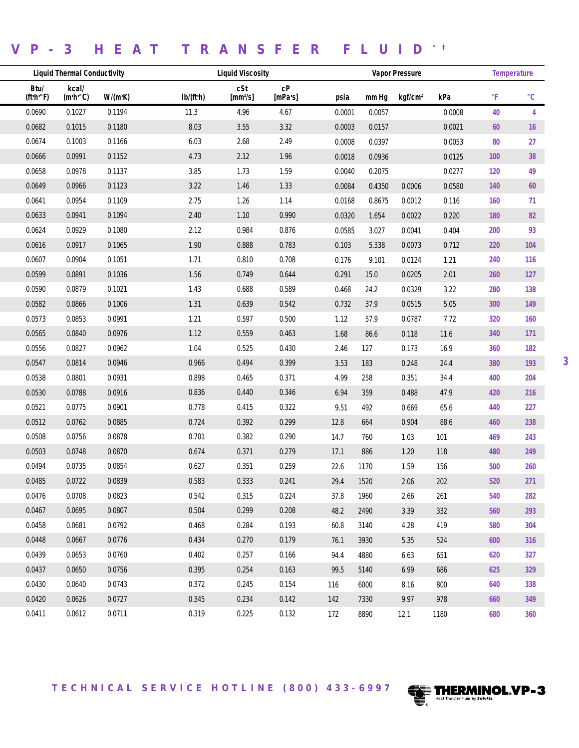# **VP-3 HEAT TRANSFER FLUID \* †**

| <b>Liquid Thermal Conductivity</b> |                                |         | <b>Liquid Viscosity</b> |                   |                               |        | <b>Vapor Pressure</b> |                     |        |     |                   |
|------------------------------------|--------------------------------|---------|-------------------------|-------------------|-------------------------------|--------|-----------------------|---------------------|--------|-----|-------------------|
| Btu/<br>(ft·h·°F)                  | kcal/<br>$(m \cdot h \cdot C)$ | W/(m·K) | Ib/(ft·h)               | cSt<br>$[mm^2/s]$ | ${\rm c}{\rm P}$<br>$[mPa-s]$ | psia   | mm Ha                 | kqf/cm <sup>2</sup> | kPa    | °F  | $^{\circ}{\rm C}$ |
| 0.0690                             | 0.1027                         | 0.1194  | 11.3                    | 4.96              | 4.67                          | 0.0001 | 0.0057                |                     | 0.0008 | 40  | 4                 |
| 0.0682                             | 0.1015                         | 0.1180  | 8.03                    | $3.55\,$          | 3.32                          | 0.0003 | 0.0157                |                     | 0.0021 | 60  | 16                |
| 0.0674                             | 0.1003                         | 0.1166  | 6.03                    | 2.68              | 2.49                          | 0.0008 | 0.0397                |                     | 0.0053 | 80  | 27                |
| 0.0666                             | 0.0991                         | 0.1152  | 4.73                    | 2.12              | 1.96                          | 0.0018 | 0.0936                |                     | 0.0125 | 100 | 38                |
| 0.0658                             | 0.0978                         | 0.1137  | 3.85                    | 1.73              | 1.59                          | 0.0040 | 0.2075                |                     | 0.0277 | 120 | 49                |
| 0.0649                             | 0.0966                         | 0.1123  | 3.22                    | 1.46              | 1.33                          | 0.0084 | 0.4350                | 0.0006              | 0.0580 | 140 | 60                |
| 0.0641                             | 0.0954                         | 0.1109  | 2.75                    | 1.26              | 1.14                          | 0.0168 | 0.8675                | 0.0012              | 0.116  | 160 | 71                |
| 0.0633                             | 0.0941                         | 0.1094  | 2.40                    | 1.10              | 0.990                         | 0.0320 | 1.654                 | 0.0022              | 0.220  | 180 | 82                |
| 0.0624                             | 0.0929                         | 0.1080  | 2.12                    | 0.984             | 0.876                         | 0.0585 | 3.027                 | 0.0041              | 0.404  | 200 | 93                |
| 0.0616                             | 0.0917                         | 0.1065  | 1.90                    | 0.888             | 0.783                         | 0.103  | 5.338                 | 0.0073              | 0.712  | 220 | 104               |
| 0.0607                             | 0.0904                         | 0.1051  | 1.71                    | 0.810             | 0.708                         | 0.176  | 9.101                 | 0.0124              | 1.21   | 240 | 116               |
| 0.0599                             | 0.0891                         | 0.1036  | 1.56                    | 0.749             | 0.644                         | 0.291  | 15.0                  | 0.0205              | 2.01   | 260 | $127$             |
| 0.0590                             | 0.0879                         | 0.1021  | 1.43                    | 0.688             | 0.589                         | 0.468  | 24.2                  | 0.0329              | 3.22   | 280 | 138               |
| 0.0582                             | 0.0866                         | 0.1006  | 1.31                    | 0.639             | 0.542                         | 0.732  | 37.9                  | 0.0515              | 5.05   | 300 | 149               |
| 0.0573                             | 0.0853                         | 0.0991  | 1.21                    | 0.597             | 0.500                         | 1.12   | 57.9                  | 0.0787              | 7.72   | 320 | 160               |
| 0.0565                             | 0.0840                         | 0.0976  | 1.12                    | 0.559             | 0.463                         | 1.68   | 86.6                  | 0.118               | 11.6   | 340 | 171               |
| 0.0556                             | 0.0827                         | 0.0962  | 1.04                    | 0.525             | 0.430                         | 2.46   | 127                   | 0.173               | 16.9   | 360 | 182               |
| 0.0547                             | 0.0814                         | 0.0946  | 0.966                   | 0.494             | 0.399                         | 3.53   | 183                   | 0.248               | 24.4   | 380 | 193               |
| 0.0538                             | 0.0801                         | 0.0931  | 0.898                   | 0.465             | 0.371                         | 4.99   | 258                   | 0.351               | 34.4   | 400 | 204               |
| 0.0530                             | 0.0788                         | 0.0916  | 0.836                   | 0.440             | 0.346                         | 6.94   | 359                   | 0.488               | 47.9   | 420 | 216               |
| 0.0521                             | 0.0775                         | 0.0901  | 0.778                   | 0.415             | 0.322                         | 9.51   | 492                   | 0.669               | 65.6   | 440 | 227               |
| 0.0512                             | 0.0762                         | 0.0885  | 0.724                   | 0.392             | 0.299                         | 12.8   | 664                   | 0.904               | 88.6   | 460 | 238               |
| 0.0508                             | 0.0756                         | 0.0878  | 0.701                   | 0.382             | 0.290                         | 14.7   | 760                   | 1.03                | 101    | 469 | 243               |
| 0.0503                             | 0.0748                         | 0.0870  | 0.674                   | 0.371             | 0.279                         | 17.1   | 886                   | 1.20                | 118    | 480 | 249               |
| 0.0494                             | 0.0735                         | 0.0854  | 0.627                   | 0.351             | 0.259                         | 22.6   | 1170                  | 1.59                | 156    | 500 | 260               |
| 0.0485                             | 0.0722                         | 0.0839  | 0.583                   | 0.333             | 0.241                         | 29.4   | 1520                  | $2.06$              | 202    | 520 | 271               |
| 0.0476                             | 0.0708                         | 0.0823  | 0.542                   | 0.315             | 0.224                         | 37.8   | 1960                  | 2.66                | 261    | 540 | 282               |
| 0.0467                             | 0.0695                         | 0.0807  | 0.504                   | 0.299             | 0.208                         | 48.2   | 2490                  | 3.39                | 332    | 560 | 293               |
| 0.0458                             | 0.0681                         | 0.0792  | 0.468                   | 0.284             | 0.193                         | 60.8   | 3140                  | 4.28                | 419    | 580 | 304               |
| 0.0448                             | 0.0667                         | 0.0776  | 0.434                   | 0.270             | 0.179                         | 76.1   | 3930                  | 5.35                | 524    | 600 | 316               |
| 0.0439                             | 0.0653                         | 0.0760  | 0.402                   | 0.257             | 0.166                         | 94.4   | 4880                  | 6.63                | 651    | 620 | 327               |
| 0.0437                             | 0.0650                         | 0.0756  | 0.395                   | 0.254             | 0.163                         | 99.5   | 5140                  | 6.99                | 686    | 625 | 329               |
| 0.0430                             | 0.0640                         | 0.0743  | 0.372                   | 0.245             | 0.154                         | 116    | 6000                  | 8.16                | 800    | 640 | 338               |
| 0.0420                             | 0.0626                         | 0.0727  | 0.345                   | 0.234             | 0.142                         | 142    | 7330                  | 9.97                | 978    | 660 | 349               |
| 0.0411                             | 0.0612                         | 0.0711  | 0.319                   | 0.225             | 0.132                         | 172    | 8890                  | 12.1                | 1180   | 680 | 360               |

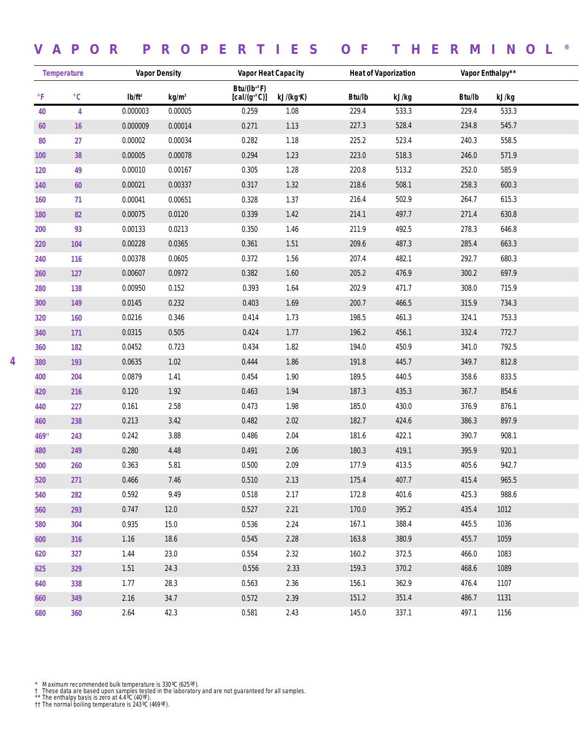## **VAPOR PROPERTIES OF THERMINOL ®**

| <b>Temperature</b> |                   | <b>Vapor Density</b> |                   | <b>Vapor Heat Capacity</b>         |           |        | <b>Heat of Vaporization</b> | Vapor Enthalpy** |       |  |
|--------------------|-------------------|----------------------|-------------------|------------------------------------|-----------|--------|-----------------------------|------------------|-------|--|
| $\circ$ F          | $^{\circ}{\rm C}$ | Ib/ft <sup>3</sup>   | kg/m <sup>3</sup> | Btu/(lb·°F)<br>$[cal/(g \cdot C)]$ | kJ/(kg·K) | Btu/lb | kJ/kg                       | Btu/lb           | kJ/kg |  |
| 40                 | 4                 | 0.000003             | 0.00005           | 0.259                              | 1.08      | 229.4  | 533.3                       | 229.4            | 533.3 |  |
| 60                 | 16                | 0.000009             | 0.00014           | 0.271                              | 1.13      | 227.3  | 528.4                       | 234.8            | 545.7 |  |
| 80                 | 27                | 0.00002              | 0.00034           | 0.282                              | 1.18      | 225.2  | 523.4                       | 240.3            | 558.5 |  |
| 100                | 38                | 0.00005              | 0.00078           | 0.294                              | 1.23      | 223.0  | 518.3                       | 246.0            | 571.9 |  |
| 120                | 49                | 0.00010              | 0.00167           | 0.305                              | 1.28      | 220.8  | 513.2                       | 252.0            | 585.9 |  |
| 140                | $60\,$            | 0.00021              | 0.00337           | 0.317                              | 1.32      | 218.6  | 508.1                       | 258.3            | 600.3 |  |
| 160                | 71                | 0.00041              | 0.00651           | 0.328                              | 1.37      | 216.4  | 502.9                       | 264.7            | 615.3 |  |
| 180                | 82                | 0.00075              | 0.0120            | 0.339                              | 1.42      | 214.1  | 497.7                       | 271.4            | 630.8 |  |
| 200                | 93                | 0.00133              | 0.0213            | 0.350                              | 1.46      | 211.9  | 492.5                       | 278.3            | 646.8 |  |
| 220                | 104               | 0.00228              | 0.0365            | 0.361                              | 1.51      | 209.6  | 487.3                       | 285.4            | 663.3 |  |
| 240                | 116               | 0.00378              | 0.0605            | 0.372                              | 1.56      | 207.4  | 482.1                       | 292.7            | 680.3 |  |
| 260                | 127               | 0.00607              | 0.0972            | 0.382                              | 1.60      | 205.2  | 476.9                       | 300.2            | 697.9 |  |
| 280                | 138               | 0.00950              | 0.152             | 0.393                              | 1.64      | 202.9  | 471.7                       | 308.0            | 715.9 |  |
| 300                | 149               | 0.0145               | 0.232             | 0.403                              | 1.69      | 200.7  | 466.5                       | 315.9            | 734.3 |  |
| 320                | 160               | 0.0216               | 0.346             | 0.414                              | 1.73      | 198.5  | 461.3                       | 324.1            | 753.3 |  |
| 340                | 171               | 0.0315               | 0.505             | 0.424                              | 1.77      | 196.2  | 456.1                       | 332.4            | 772.7 |  |
| 360                | 182               | 0.0452               | 0.723             | 0.434                              | 1.82      | 194.0  | 450.9                       | 341.0            | 792.5 |  |
| 380                | 193               | 0.0635               | 1.02              | 0.444                              | 1.86      | 191.8  | 445.7                       | 349.7            | 812.8 |  |
| 400                | 204               | 0.0879               | 1.41              | 0.454                              | 1.90      | 189.5  | 440.5                       | 358.6            | 833.5 |  |
| 420                | 216               | 0.120                | 1.92              | 0.463                              | 1.94      | 187.3  | 435.3                       | 367.7            | 854.6 |  |
| 440                | 227               | 0.161                | 2.58              | 0.473                              | 1.98      | 185.0  | 430.0                       | 376.9            | 876.1 |  |
| 460                | 238               | 0.213                | 3.42              | 0.482                              | 2.02      | 182.7  | 424.6                       | 386.3            | 897.9 |  |
| 46911              | 243               | 0.242                | 3.88              | 0.486                              | 2.04      | 181.6  | 422.1                       | 390.7            | 908.1 |  |
| 480                | 249               | 0.280                | 4.48              | 0.491                              | 2.06      | 180.3  | 419.1                       | 395.9            | 920.1 |  |
| 500                | 260               | 0.363                | 5.81              | 0.500                              | 2.09      | 177.9  | 413.5                       | 405.6            | 942.7 |  |
| 520                | 271               | 0.466                | 7.46              | 0.510                              | 2.13      | 175.4  | 407.7                       | 415.4            | 965.5 |  |
| 540                | 282               | 0.592                | 9.49              | 0.518                              | 2.17      | 172.8  | 401.6                       | 425.3            | 988.6 |  |
| 560                | 293               | 0.747                | 12.0              | 0.527                              | 2.21      | 170.0  | 395.2                       | 435.4            | 1012  |  |
| 580                | 304               | 0.935                | 15.0              | 0.536                              | 2.24      | 167.1  | 388.4                       | 445.5            | 1036  |  |
| 600                | 316               | 1.16                 | 18.6              | 0.545                              | 2.28      | 163.8  | 380.9                       | 455.7            | 1059  |  |
| 620                | 327               | 1.44                 | 23.0              | 0.554                              | 2.32      | 160.2  | 372.5                       | 466.0            | 1083  |  |
| 625                | 329               | 1.51                 | 24.3              | 0.556                              | 2.33      | 159.3  | 370.2                       | 468.6            | 1089  |  |
| 640                | 338               | 1.77                 | 28.3              | 0.563                              | 2.36      | 156.1  | 362.9                       | 476.4            | 1107  |  |
| 660                | 349               | 2.16                 | 34.7              | 0.572                              | 2.39      | 151.2  | 351.4                       | 486.7            | 1131  |  |
| 680                | 360               | 2.64                 | 42.3              | 0.581                              | 2.43      | 145.0  | 337.1                       | 497.1            | 1156  |  |

\* Maximum recommended bulk temperature is 330 °C (625 °F).<br>† These data are based upon samples tested in the laboratory and are not guaranteed for all samples.<br>\*\* The enthalpy basis is zero at 4.4 °C (40 °F).<br>†† The norma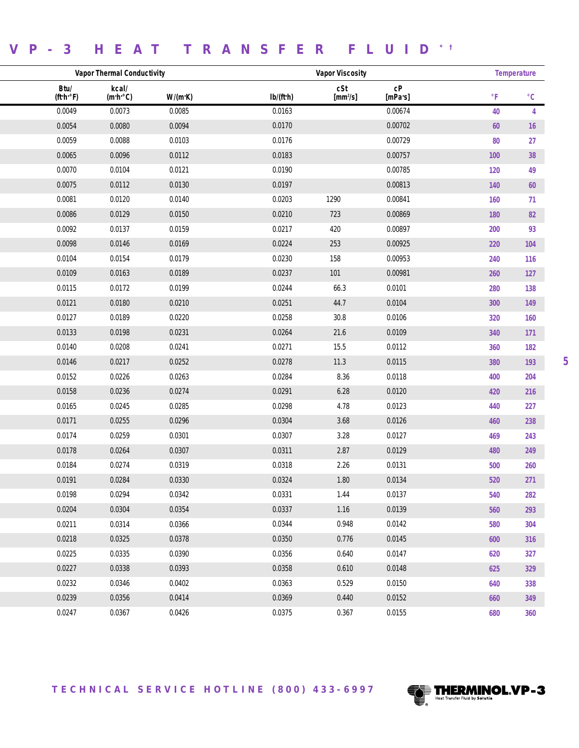### **VP-3 HEAT TRANSFER FLUID \* †**

| <b>Vapor Thermal Conductivity</b> |                                |         |           |                             | <b>Temperature</b>            |                         |                   |
|-----------------------------------|--------------------------------|---------|-----------|-----------------------------|-------------------------------|-------------------------|-------------------|
| Btu/<br>(ft·h·°F)                 | kcal/<br>$(m \cdot h \cdot C)$ | W/(m·K) | Ib/(ft·h) | cSt<br>[mm <sup>2</sup> /s] | ${\rm c}{\rm P}$<br>$[mPa-s]$ | $\,^{\circ} \mathsf{F}$ | $^{\circ}{\rm C}$ |
| 0.0049                            | 0.0073                         | 0.0085  | 0.0163    |                             | 0.00674                       | 40                      | 4                 |
| 0.0054                            | 0.0080                         | 0.0094  | 0.0170    |                             | 0.00702                       | $60\,$                  | 16                |
| 0.0059                            | 0.0088                         | 0.0103  | 0.0176    |                             | 0.00729                       | ${\bf 80}$              | 27                |
| 0.0065                            | 0.0096                         | 0.0112  | 0.0183    |                             | 0.00757                       | 100                     | 38                |
| 0.0070                            | 0.0104                         | 0.0121  | 0.0190    |                             | 0.00785                       | 120                     | 49                |
| 0.0075                            | 0.0112                         | 0.0130  | 0.0197    |                             | 0.00813                       | 140                     | $60\,$            |
| 0.0081                            | 0.0120                         | 0.0140  | 0.0203    | 1290                        | 0.00841                       | 160                     | 71                |
| 0.0086                            | 0.0129                         | 0.0150  | 0.0210    | 723                         | 0.00869                       | 180                     | 82                |
| 0.0092                            | 0.0137                         | 0.0159  | 0.0217    | 420                         | 0.00897                       | 200                     | 93                |
| 0.0098                            | 0.0146                         | 0.0169  | 0.0224    | 253                         | 0.00925                       | 220                     | 104               |
| 0.0104                            | 0.0154                         | 0.0179  | 0.0230    | 158                         | 0.00953                       | 240                     | 116               |
| 0.0109                            | 0.0163                         | 0.0189  | 0.0237    | 101                         | 0.00981                       | 260                     | $127$             |
| 0.0115                            | 0.0172                         | 0.0199  | 0.0244    | 66.3                        | 0.0101                        | 280                     | 138               |
| 0.0121                            | 0.0180                         | 0.0210  | 0.0251    | 44.7                        | 0.0104                        | 300                     | 149               |
| 0.0127                            | 0.0189                         | 0.0220  | 0.0258    | 30.8                        | 0.0106                        | 320                     | 160               |
| 0.0133                            | 0.0198                         | 0.0231  | 0.0264    | 21.6                        | 0.0109                        | 340                     | 171               |
| 0.0140                            | 0.0208                         | 0.0241  | 0.0271    | 15.5                        | 0.0112                        | 360                     | 182               |
| 0.0146                            | 0.0217                         | 0.0252  | 0.0278    | 11.3                        | 0.0115                        | 380                     | 193               |
| 0.0152                            | 0.0226                         | 0.0263  | 0.0284    | 8.36                        | 0.0118                        | 400                     | 204               |
| 0.0158                            | 0.0236                         | 0.0274  | 0.0291    | 6.28                        | 0.0120                        | 420                     | 216               |
| 0.0165                            | 0.0245                         | 0.0285  | 0.0298    | 4.78                        | 0.0123                        | 440                     | 227               |
| 0.0171                            | 0.0255                         | 0.0296  | 0.0304    | 3.68                        | 0.0126                        | 460                     | 238               |
| 0.0174                            | 0.0259                         | 0.0301  | 0.0307    | 3.28                        | 0.0127                        | 469                     | 243               |
| 0.0178                            | 0.0264                         | 0.0307  | 0.0311    | 2.87                        | 0.0129                        | 480                     | 249               |
| 0.0184                            | 0.0274                         | 0.0319  | 0.0318    | 2.26                        | 0.0131                        | 500                     | 260               |
| 0.0191                            | 0.0284                         | 0.0330  | 0.0324    | 1.80                        | 0.0134                        | 520                     | 271               |
| 0.0198                            | 0.0294                         | 0.0342  | 0.0331    | 1.44                        | 0.0137                        | 540                     | 282               |
| 0.0204                            | 0.0304                         | 0.0354  | 0.0337    | 1.16                        | 0.0139                        | 560                     | 293               |
| 0.0211                            | 0.0314                         | 0.0366  | 0.0344    | 0.948                       | 0.0142                        | 580                     | 304               |
| 0.0218                            | 0.0325                         | 0.0378  | 0.0350    | 0.776                       | 0.0145                        | 600                     | 316               |
| 0.0225                            | 0.0335                         | 0.0390  | 0.0356    | 0.640                       | 0.0147                        | 620                     | 327               |
| 0.0227                            | 0.0338                         | 0.0393  | 0.0358    | 0.610                       | 0.0148                        | 625                     | 329               |
| 0.0232                            | 0.0346                         | 0.0402  | 0.0363    | 0.529                       | 0.0150                        | 640                     | 338               |
| 0.0239                            | 0.0356                         | 0.0414  | 0.0369    | 0.440                       | 0.0152                        | 660                     | 349               |
| 0.0247                            | 0.0367                         | 0.0426  | 0.0375    | 0.367                       | 0.0155                        | 680                     | 360               |